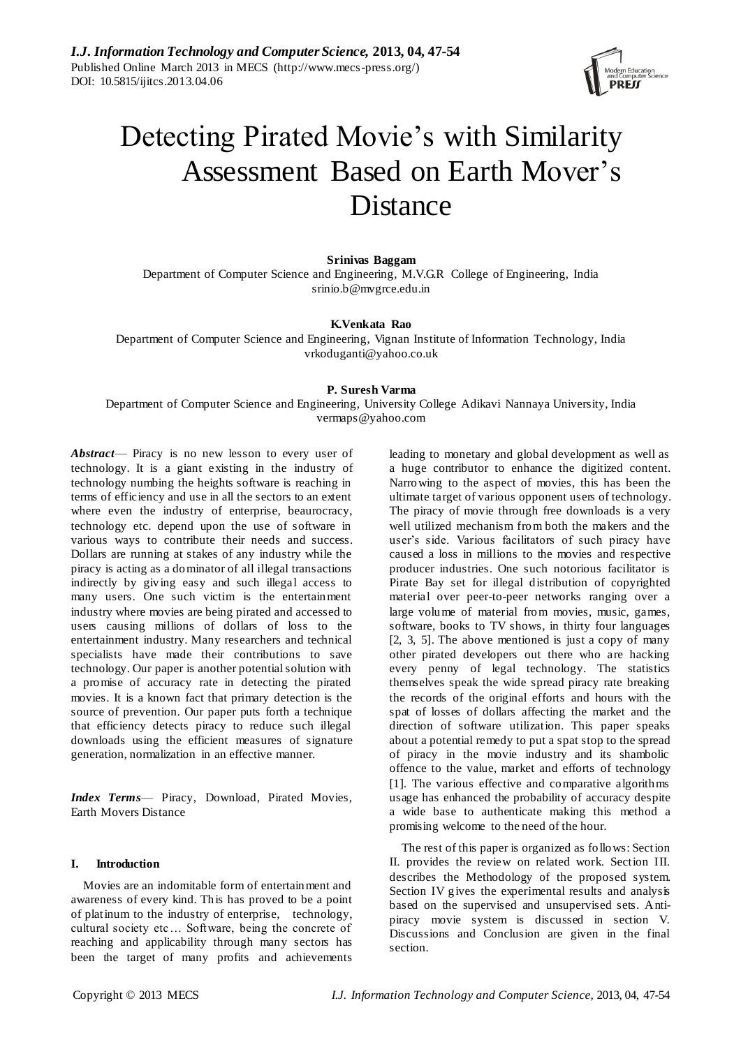

# Detecting Pirated Movie's with Similarity Assessment Based on Earth Mover's Distance

**Srinivas Baggam**

Department of Computer Science and Engineering, M.V.G.R College of Engineering, India srinio.b@mvgrce.edu.in

#### **K.Venkata Rao**

Department of Computer Science and Engineering, Vignan Institute of Information Technology, India [vrkoduganti@yahoo.co.uk](mailto:fxzhu@public.wh.hb.cn)

## **P. Suresh Varma**

Department of Computer Science and Engineering, University College Adikavi Nannaya University, India vermaps@yahoo.com

*Abstract*— Piracy is no new lesson to every user of technology. It is a giant existing in the industry of technology numbing the heights software is reaching in terms of efficiency and use in all the sectors to an extent where even the industry of enterprise, beaurocracy, technology etc. depend upon the use of software in various ways to contribute their needs and success. Dollars are running at stakes of any industry while the piracy is acting as a dominator of all illegal transactions indirectly by giving easy and such illegal access to many users. One such victim is the entertainment industry where movies are being pirated and accessed to users causing millions of dollars of loss to the entertainment industry. Many researchers and technical specialists have made their contributions to save technology. Our paper is another potential solution with a promise of accuracy rate in detecting the pirated movies. It is a known fact that primary detection is the source of prevention. Our paper puts forth a technique that efficiency detects piracy to reduce such illegal downloads using the efficient measures of signature generation, normalization in an effective manner.

*Index Terms*— Piracy, Download, Pirated Movies, Earth Movers Distance

# **I. Introduction**

Movies are an indomitable form of entertainment and awareness of every kind. This has proved to be a point of platinum to the industry of enterprise, technology, cultural society etc… Software, being the concrete of reaching and applicability through many sectors has been the target of many profits and achievements

leading to monetary and global development as well as a huge contributor to enhance the digitized content. Narrowing to the aspect of movies, this has been the ultimate target of various opponent users of technology. The piracy of movie through free downloads is a very well utilized mechanism from both the makers and the user's side. Various facilitators of such piracy have caused a loss in millions to the movies and respective producer industries. One such notorious facilitator is Pirate Bay set for illegal distribution of copyrighted material over peer-to-peer networks ranging over a large volume of material from movies, music, games, software, books to TV shows, in thirty four languages [2, 3, 5]. The above mentioned is just a copy of many other pirated developers out there who are hacking every penny of legal technology. The statistics themselves speak the wide spread piracy rate breaking the records of the original efforts and hours with the spat of losses of dollars affecting the market and the direction of software utilization. This paper speaks about a potential remedy to put a spat stop to the spread of piracy in the movie industry and its shambolic offence to the value, market and efforts of technology [1]. The various effective and comparative algorithms usage has enhanced the probability of accuracy despite a wide base to authenticate making this method a promising welcome to the need of the hour.

The rest of this paper is organized as follows: Section II. provides the review on related work. Section III. describes the Methodology of the proposed system. Section IV gives the experimental results and analysis based on the supervised and unsupervised sets. Antipiracy movie system is discussed in section V. Discussions and Conclusion are given in the final section.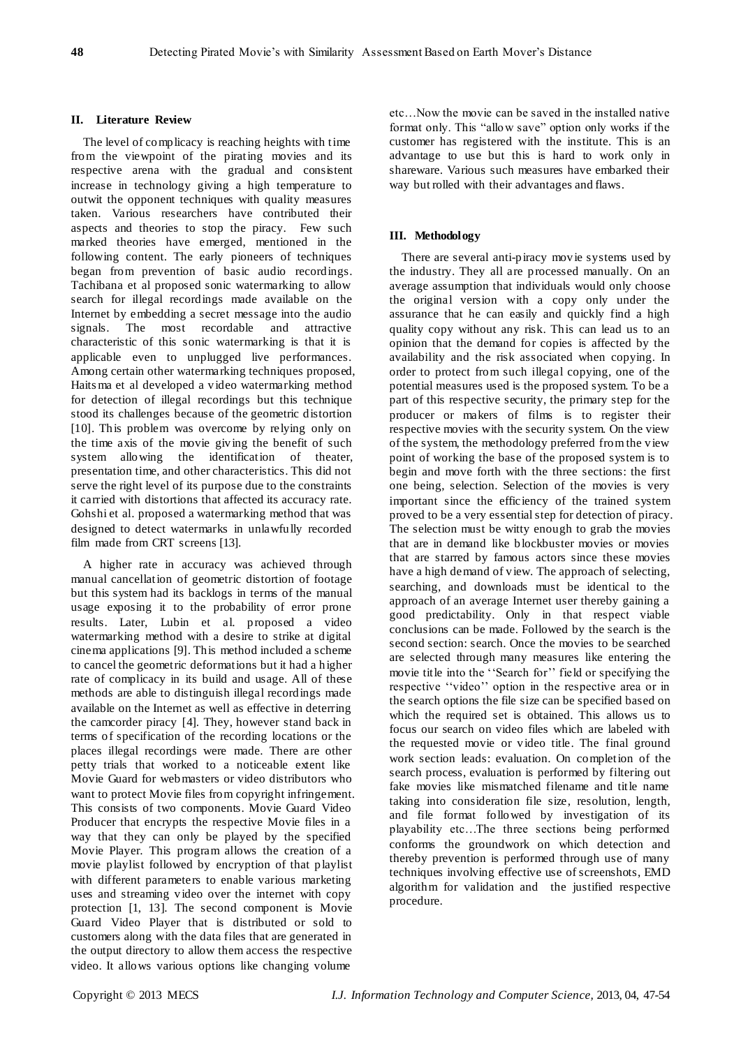# **II. Literature Review**

The level of complicacy is reaching heights with time from the viewpoint of the pirating movies and its respective arena with the gradual and consistent increase in technology giving a high temperature to outwit the opponent techniques with quality measures taken. Various researchers have contributed their aspects and theories to stop the piracy. Few such marked theories have emerged, mentioned in the following content. The early pioneers of techniques began from prevention of basic audio recordings. Tachibana et al proposed sonic watermarking to allow search for illegal recordings made available on the Internet by embedding a secret message into the audio signals. The most recordable and attractive characteristic of this sonic watermarking is that it is applicable even to unplugged live performances. Among certain other watermarking techniques proposed, Haits ma et al developed a video watermarking method for detection of illegal recordings but this technique stood its challenges because of the geometric distortion [10]. This problem was overcome by relying only on the time axis of the movie giving the benefit of such system allowing the identification of theater, presentation time, and other characteristics. This did not serve the right level of its purpose due to the constraints it carried with distortions that affected its accuracy rate. Gohshi et al. proposed a watermarking method that was designed to detect watermarks in unlawfully recorded film made from CRT screens [13].

A higher rate in accuracy was achieved through manual cancellation of geometric distortion of footage but this system had its backlogs in terms of the manual usage exposing it to the probability of error prone results. Later, Lubin et al. proposed a video watermarking method with a desire to strike at digital cinema applications [9]. This method included a scheme to cancel the geometric deformations but it had a higher rate of complicacy in its build and usage. All of these methods are able to distinguish illegal recordings made available on the Internet as well as effective in deterring the camcorder piracy [4]. They, however stand back in terms of specification of the recording locations or the places illegal recordings were made. There are other petty trials that worked to a noticeable extent like Movie Guard for webmasters or video distributors who want to protect Movie files from copyright infringement. This consists of two components. Movie Guard Video Producer that encrypts the respective Movie files in a way that they can only be played by the specified Movie Player. This program allows the creation of a movie playlist followed by encryption of that playlist with different parameters to enable various marketing uses and streaming video over the internet with copy protection [1, 13]. The second component is Movie Guard Video Player that is distributed or sold to customers along with the data files that are generated in the output directory to allow them access the respective video. It allows various options like changing volume

etc…Now the movie can be saved in the installed native format only. This "allow save" option only works if the customer has registered with the institute. This is an advantage to use but this is hard to work only in shareware. Various such measures have embarked their way but rolled with their advantages and flaws.

# **III. Methodology**

There are several anti-piracy movie systems used by the industry. They all are processed manually. On an average assumption that individuals would only choose the original version with a copy only under the assurance that he can easily and quickly find a high quality copy without any risk. This can lead us to an opinion that the demand for copies is affected by the availability and the risk associated when copying. In order to protect from such illegal copying, one of the potential measures used is the proposed system. To be a part of this respective security, the primary step for the producer or makers of films is to register their respective movies with the security system. On the view of the system, the methodology preferred from the view point of working the base of the proposed system is to begin and move forth with the three sections: the first one being, selection. Selection of the movies is very important since the efficiency of the trained system proved to be a very essential step for detection of piracy. The selection must be witty enough to grab the movies that are in demand like blockbuster movies or movies that are starred by famous actors since these movies have a high demand of view. The approach of selecting, searching, and downloads must be identical to the approach of an average Internet user thereby gaining a good predictability. Only in that respect viable conclusions can be made. Followed by the search is the second section: search. Once the movies to be searched are selected through many measures like entering the movie title into the "Search for" field or specifying the respective "video" option in the respective area or in the search options the file size can be specified based on which the required set is obtained. This allows us to focus our search on video files which are labeled with the requested movie or video title. The final ground work section leads: evaluation. On completion of the search process, evaluation is performed by filtering out fake movies like mismatched filename and title name taking into consideration file size, resolution, length, and file format followed by investigation of its playability etc…The three sections being performed conforms the groundwork on which detection and thereby prevention is performed through use of many techniques involving effective use of screenshots, EMD algorithm for validation and the justified respective procedure.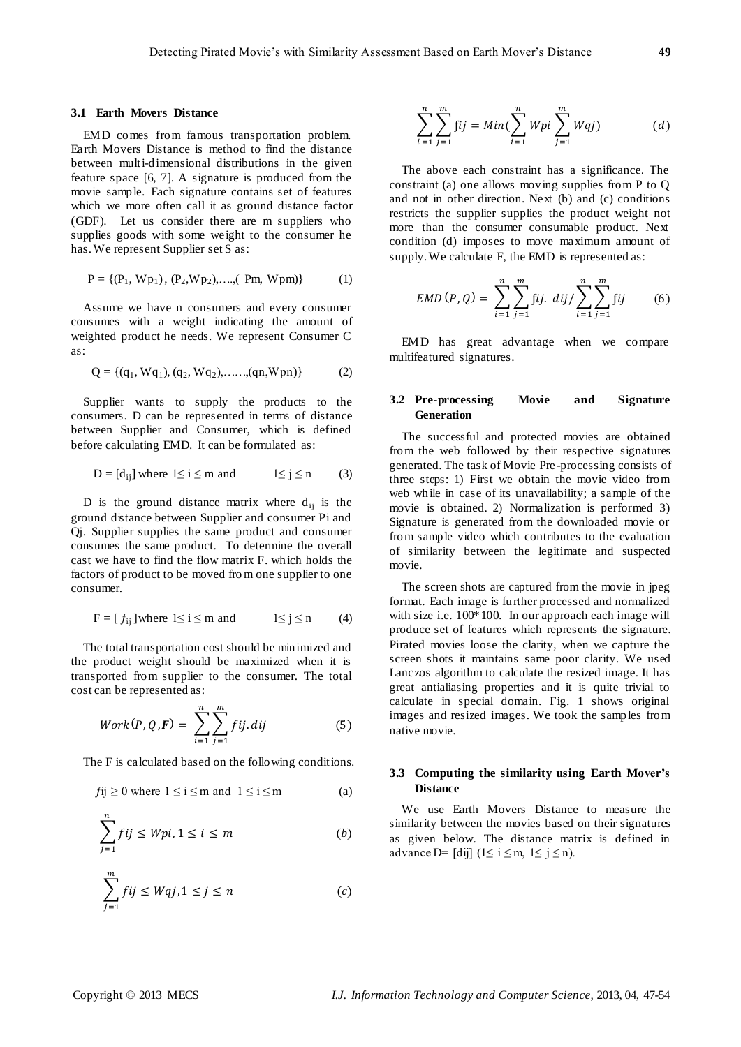#### **3.1 Earth Movers Distance**

EMD comes from famous transportation problem. Earth Movers Distance is method to find the distance between multi-dimensional distributions in the given feature space [6, 7]. A signature is produced from the movie sample. Each signature contains set of features which we more often call it as ground distance factor (GDF). Let us consider there are m suppliers who supplies goods with some weight to the consumer he has. We represent Supplier set S as:

$$
P = \{ (P_1, Wp_1), (P_2, Wp_2), \dots, (PM, Wpm) \}
$$
 (1)

Assume we have n consumers and every consumer consumes with a weight indicating the amount of weighted product he needs. We represent Consumer C as:

$$
Q = \{(q_1, Wq_1), (q_2, Wq_2), \dots, (qn, Wpn)\}\tag{2}
$$

Supplier wants to supply the products to the consumers. D can be represented in terms of distance between Supplier and Consumer, which is defined before calculating EMD. It can be formulated as:

$$
D = [d_{ij}] where 1 \le i \le m and 1 \le j \le n \qquad (3)
$$

D is the ground distance matrix where  $d_{ij}$  is the ground distance between Supplier and consumer Pi and Qj. Supplier supplies the same product and consumer consumes the same product. To determine the overall cast we have to find the flow matrix F. which holds the factors of product to be moved from one supplier to one consumer.

$$
F = [f_{ij}] where 1 \le i \le m and 1 \le j \le n \qquad (4)
$$

The total transportation cost should be minimized and the product weight should be maximized when it is transported from supplier to the consumer. The total cost can be represented as:

$$
Work(P, Q, F) = \sum_{i=1}^{n} \sum_{j=1}^{m} fij. \, dij \tag{5}
$$

The F is calculated based on the following conditions.

$$
fij \ge 0 \text{ where } 1 \le i \le m \text{ and } 1 \le i \le m \tag{a}
$$

$$
\sum_{j=1}^{n} fij \le Wpi, 1 \le i \le m \tag{b}
$$

$$
\sum_{j=1}^{m} fij \le Wq, 1 \le j \le n \tag{c}
$$

$$
\sum_{i=1}^{n} \sum_{j=1}^{m} fij = Min(\sum_{i=1}^{n} Wpi \sum_{j=1}^{m} Wqj)
$$
 (d)

The above each constraint has a significance. The constraint (a) one allows moving supplies from P to Q and not in other direction. Next (b) and (c) conditions restricts the supplier supplies the product weight not more than the consumer consumable product. Next condition (d) imposes to move maximum amount of supply. We calculate F, the EMD is represented as:

$$
EMD(P,Q) = \sum_{i=1}^{n} \sum_{j=1}^{m} \text{fij. } dij / \sum_{i=1}^{n} \sum_{j=1}^{m} \text{fij}
$$
 (6)

EMD has great advantage when we compare multifeatured signatures.

# **3.2 Pre-processing Movie and Signature Generation**

The successful and protected movies are obtained from the web followed by their respective signatures generated. The task of Movie Pre -processing consists of three steps: 1) First we obtain the movie video from web while in case of its unavailability; a sample of the movie is obtained. 2) Normalization is performed 3) Signature is generated from the downloaded movie or from sample video which contributes to the evaluation of similarity between the legitimate and suspected movie.

The screen shots are captured from the movie in jpeg format. Each image is further processed and normalized with size i.e.  $100*100$ . In our approach each image will produce set of features which represents the signature. Pirated movies loose the clarity, when we capture the screen shots it maintains same poor clarity. We used Lanczos algorithm to calculate the resized image. It has great antialiasing properties and it is quite trivial to calculate in special domain. Fig. 1 shows original images and resized images. We took the samples from native movie.

## **3.3 Computing the similarity using Earth Mover's Distance**

We use Earth Movers Distance to measure the similarity between the movies based on their signatures as given below. The distance matrix is defined in advance D= [dij]  $(1 \le i \le m, 1 \le j \le n)$ .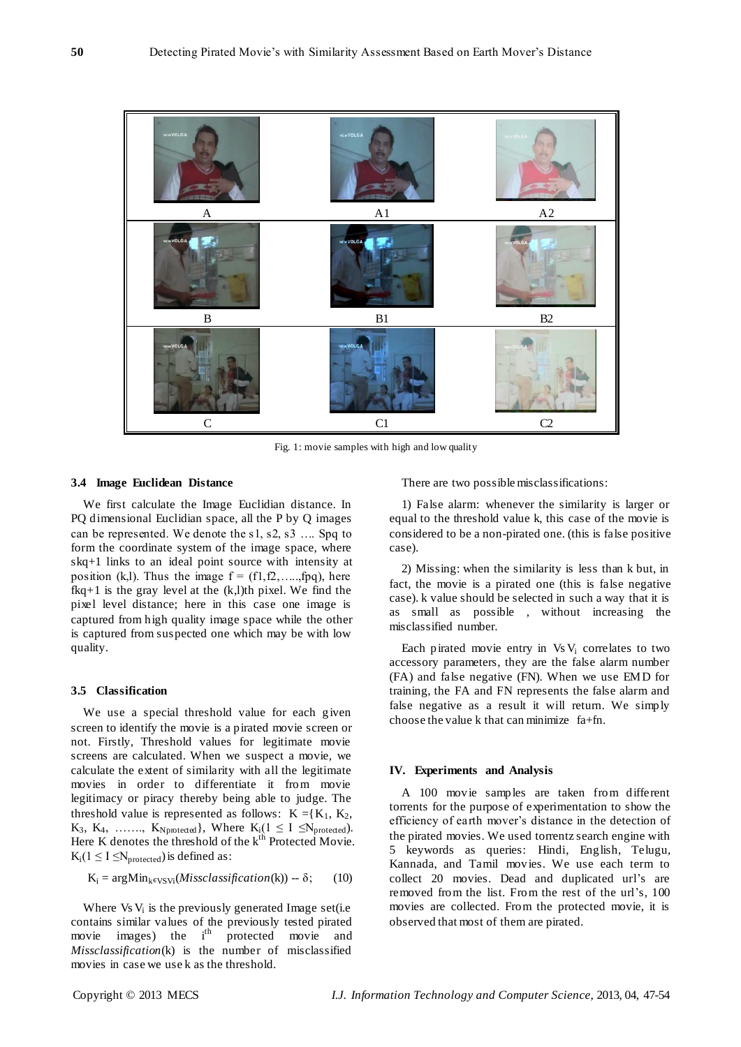

Fig. 1: movie samples with high and low quality

## **3.4 Image Euclidean Distance**

We first calculate the Image Euclidian distance. In PQ dimensional Euclidian space, all the P by Q images can be represented. We denote the s1, s2, s3 …. Spq to form the coordinate system of the image space, where skq+1 links to an ideal point source with intensity at position (k,l). Thus the image  $f = (f1, f2, \ldots, fpq)$ , here  $fkq+1$  is the gray level at the  $(k, l)$ th pixel. We find the pixel level distance; here in this case one image is captured from high quality image space while the other is captured from suspected one which may be with low quality.

## **3.5 Classification**

We use a special threshold value for each given screen to identify the movie is a pirated movie screen or not. Firstly, Threshold values for legitimate movie screens are calculated. When we suspect a movie, we calculate the extent of similarity with all the legitimate movies in order to differentiate it from movie legitimacy or piracy thereby being able to judge. The threshold value is represented as follows:  $K = \{K_1, K_2,$  $K_3$ ,  $K_4$ , ......,  $K_{Nppoted}$ , Where  $K_i(1 \leq I \leq N_{proteded})$ . Here K denotes the threshold of the  $k<sup>th</sup>$  Protected Movie.  $K_i(1 \leq I \leq N_{protected})$  is defined as:

$$
K_i = argMin_{k \in VSVi}(Miss classification(k)) - \delta; \qquad (10)
$$

Where Vs V<sub>i</sub> is the previously generated Image set(i.e contains similar values of the previously tested pirated movie images) the i<sup>th</sup> protected movie and *Missclassification*(k) is the number of misclassified movies in case we use k as the threshold.

There are two possible misclassifications:

1) False alarm: whenever the similarity is larger or equal to the threshold value k, this case of the movie is considered to be a non-pirated one. (this is false positive case).

2) Missing: when the similarity is less than k but, in fact, the movie is a pirated one (this is false negative case). k value should be selected in such a way that it is as small as possible , without increasing the misclassified number.

Each pirated movie entry in  $VsV_i$  correlates to two accessory parameters, they are the false alarm number (FA) and false negative (FN). When we use EMD for training, the FA and FN represents the false alarm and false negative as a result it will return. We simply choose the value k that can minimize fa+fn.

#### **IV. Experiments and Analysis**

A 100 movie samples are taken from different torrents for the purpose of experimentation to show the efficiency of earth mover's distance in the detection of the pirated movies. We used torrentz search engine with 5 keywords as queries: Hindi, English, Telugu, Kannada, and Tamil movies. We use each term to collect 20 movies. Dead and duplicated url's are removed from the list. From the rest of the url's, 100 movies are collected. From the protected movie, it is observed that most of them are pirated.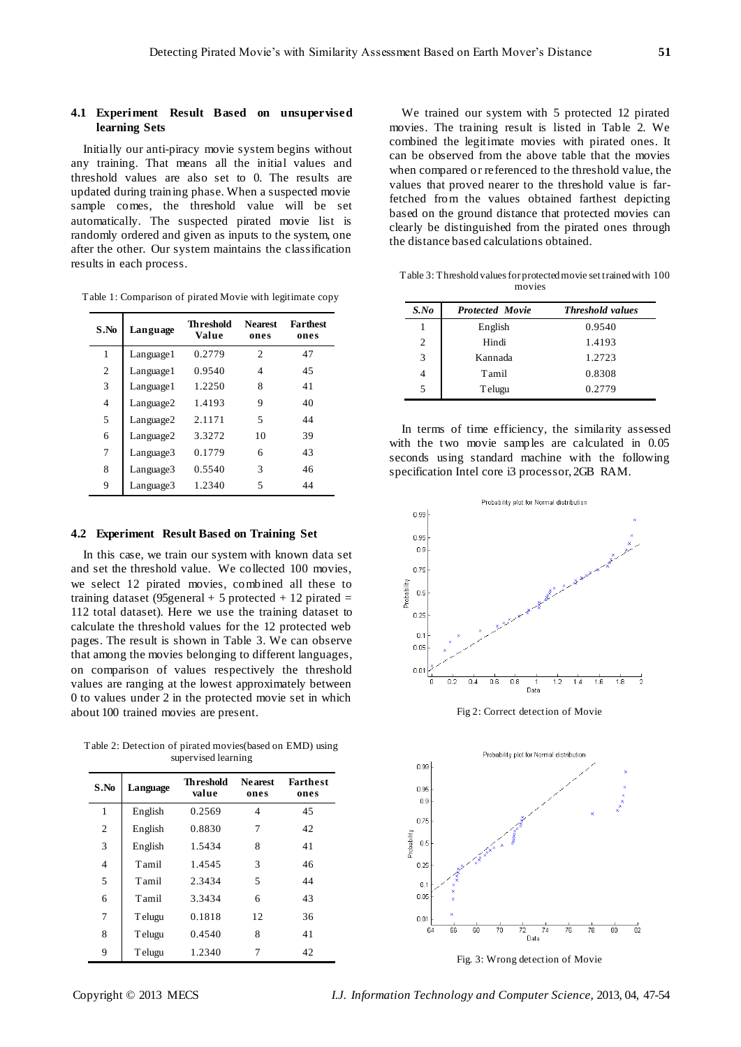## **4.1 Experiment Result Based on unsupervised learning Sets**

Initially our anti-piracy movie system begins without any training. That means all the initial values and threshold values are also set to 0. The results are updated during training phase. When a suspected movie sample comes, the threshold value will be set automatically. The suspected pirated movie list is randomly ordered and given as inputs to the system, one after the other. Our system maintains the classification results in each process.

| S.No           | Language        | <b>Th reshold</b><br>Value | <b>Nearest</b><br>ones      | <b>Farthest</b><br>ones |
|----------------|-----------------|----------------------------|-----------------------------|-------------------------|
| 1              | $L$ anguage $l$ | 0.2779                     | $\mathcal{D}_{\mathcal{L}}$ | 47                      |
| $\overline{c}$ | Language 1      | 0.9540                     | 4                           | 45                      |
| 3              | $L$ anguage $l$ | 1.2250                     | 8                           | 41                      |
| 4              | Language2       | 1.4193                     | 9                           | 40                      |
| 5              | Language2       | 2.1171                     | $\overline{\phantom{0}}$    | 44                      |
| 6              | Language2       | 3.3272                     | 10                          | 39                      |
| 7              | Language3       | 0.1779                     | 6                           | 43                      |
| 8              | Language3       | 0.5540                     | 3                           | 46                      |
| 9              | Language3       | 1.2340                     | 5                           | 44                      |

#### **4.2 Experiment Result Based on Training Set**

In this case, we train our system with known data set and set the threshold value. We collected 100 movies, we select 12 pirated movies, combined all these to training dataset (95 general + 5 protected + 12 pirated  $=$ 112 total dataset). Here we use the training dataset to calculate the threshold values for the 12 protected web pages. The result is shown in Table 3. We can observe that among the movies belonging to different languages, on comparison of values respectively the threshold values are ranging at the lowest approximately between 0 to values under 2 in the protected movie set in which about 100 trained movies are present.

Table 2: Detection of pirated movies(based on EMD) using supervised learning

| S.No | Language | Th reshold<br>value | <b>Ne arest</b><br>ones | <b>Farthest</b><br>ones |
|------|----------|---------------------|-------------------------|-------------------------|
| 1    | English  | 0.2569              | 4                       | 45                      |
| 2    | English  | 0.8830              | 7                       | 42                      |
| 3    | English  | 1.5434              | 8                       | 41                      |
| 4    | Tamil    | 1.4545              | 3                       | 46                      |
| 5    | Tamil    | 2.3434              | 5                       | 44                      |
| 6    | Tamil    | 3.3434              | 6                       | 43                      |
| 7    | Telugu   | 0.1818              | 12                      | 36                      |
| 8    | Telugu   | 0.4540              | 8                       | 41                      |
| 9    | Telugu   | 1.2340              | 7                       | 42                      |

We trained our system with 5 protected 12 pirated movies. The training result is listed in Table 2. We combined the legitimate movies with pirated ones. It can be observed from the above table that the movies when compared or referenced to the threshold value, the values that proved nearer to the threshold value is farfetched from the values obtained farthest depicting based on the ground distance that protected movies can clearly be distinguished from the pirated ones through the distance based calculations obtained.

Table 3: Threshold values for protected movie set trained with 100 movies

| $S$ .No | <b>Protected Movie</b> | <b>Threshold values</b> |
|---------|------------------------|-------------------------|
| 1       | English                | 0.9540                  |
| 2       | Hindi                  | 1.4193                  |
| 3       | Kannada                | 1.2723                  |
|         | Tamil                  | 0.8308                  |
| 5       | Telugu                 | 0.2779                  |

In terms of time efficiency, the similarity assessed with the two movie samples are calculated in 0.05 seconds using standard machine with the following specification Intel core i3 processor, 2GB RAM.



Fig 2: Correct detection of Movie



Fig. 3: Wrong detection of Movie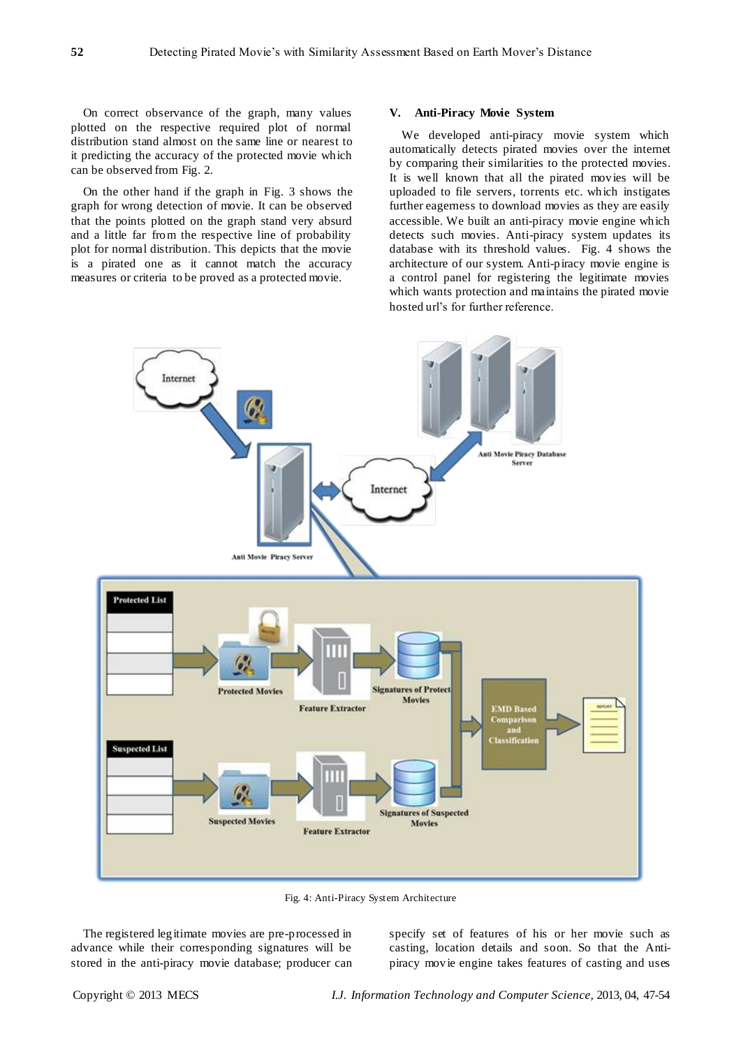On correct observance of the graph, many values plotted on the respective required plot of normal distribution stand almost on the same line or nearest to it predicting the accuracy of the protected movie which can be observed from Fig. 2.

On the other hand if the graph in Fig. 3 shows the graph for wrong detection of movie. It can be observed that the points plotted on the graph stand very absurd and a little far from the respective line of probability plot for normal distribution. This depicts that the movie is a pirated one as it cannot match the accuracy measures or criteria to be proved as a protected movie.

#### **V. Anti-Piracy Movie System**

We developed anti-piracy movie system which automatically detects pirated movies over the internet by comparing their similarities to the protected movies. It is well known that all the pirated movies will be uploaded to file servers, torrents etc. which instigates further eagerness to download movies as they are easily accessible. We built an anti-piracy movie engine which detects such movies. Anti-piracy system updates its database with its threshold values. Fig. 4 shows the architecture of our system. Anti-piracy movie engine is a control panel for registering the legitimate movies which wants protection and maintains the pirated movie hosted url's for further reference.



Fig. 4: Anti-Piracy System Architecture

The registered legitimate movies are pre-processed in advance while their corresponding signatures will be stored in the anti-piracy movie database; producer can

specify set of features of his or her movie such as casting, location details and soon. So that the Antipiracy movie engine takes features of casting and uses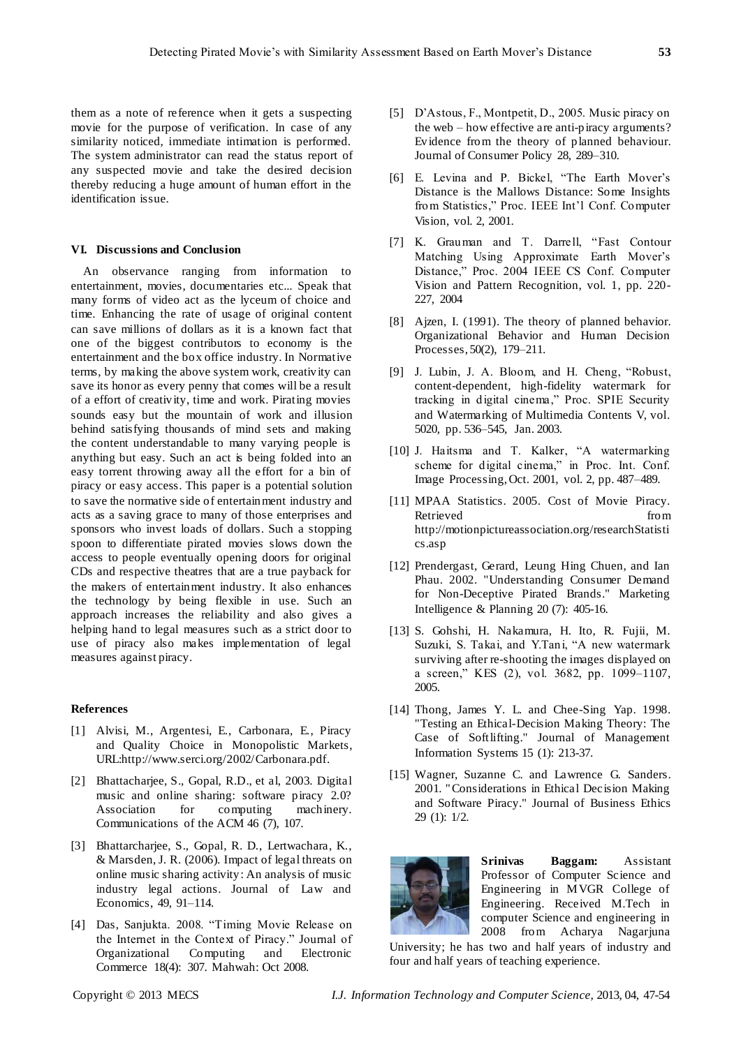them as a note of reference when it gets a suspecting movie for the purpose of verification. In case of any similarity noticed, immediate intimation is performed. The system administrator can read the status report of any suspected movie and take the desired decision thereby reducing a huge amount of human effort in the identification issue.

## **VI. Discussions and Conclusion**

An observance ranging from information to entertainment, movies, documentaries etc... Speak that many forms of video act as the lyceum of choice and time. Enhancing the rate of usage of original content can save millions of dollars as it is a known fact that one of the biggest contributors to economy is the entertainment and the box office industry. In Normative terms, by making the above system work, creativity can save its honor as every penny that comes will be a result of a effort of creativity, time and work. Pirating movies sounds easy but the mountain of work and illusion behind satisfying thousands of mind sets and making the content understandable to many varying people is anything but easy. Such an act is being folded into an easy torrent throwing away all the effort for a bin of piracy or easy access. This paper is a potential solution to save the normative side of entertainment industry and acts as a saving grace to many of those enterprises and sponsors who invest loads of dollars. Such a stopping spoon to differentiate pirated movies slows down the access to people eventually opening doors for original CDs and respective theatres that are a true payback for the makers of entertainment industry. It also enhances the technology by being flexible in use. Such an approach increases the reliability and also gives a helping hand to legal measures such as a strict door to use of piracy also makes implementation of legal measures against piracy.

#### **References**

- [1] Alvisi, M., Argentesi, E., Carbonara, E., Piracy and Quality Choice in Monopolistic Markets, [URL:http://www.serci.org/2002/Carbonara.pdf.](http://www.serci.org/2002/Carbonara.pdf)
- [2] Bhattacharjee, S., Gopal, R.D., et al, 2003. Digital music and online sharing: software piracy 2.0? Association for computing machinery. Communications of the ACM 46 (7), 107.
- [3] Bhattarcharjee, S., Gopal, R. D., Lertwachara, K., & Marsden, J. R. (2006). Impact of legal threats on online music sharing activity: An analysis of music industry legal actions. Journal of Law and Economics, 49, 91–114.
- [4] Das, Sanjukta. 2008. "Timing Movie Release on the Internet in the Context of Piracy." Journal of Organizational Computing and Electronic Commerce 18(4): 307. Mahwah: Oct 2008.
- [5] D'Astous, F., Montpetit, D., 2005. Music piracy on the web – how effective are anti-piracy arguments? Evidence from the theory of planned behaviour. Journal of Consumer Policy 28, 289–310.
- [6] E. Levina and P. Bickel, "The Earth Mover's Distance is the Mallows Distance: Some Insights from Statistics," Proc. IEEE Int'l Conf. Computer Vision, vol. 2, 2001.
- [7] K. Grauman and T. Darrell, "Fast Contour Matching Using Approximate Earth Mover's Distance," Proc. 2004 IEEE CS Conf. Computer Vision and Pattern Recognition, vol. 1, pp. 220- 227, 2004
- [8] Ajzen, I. (1991). The theory of planned behavior. Organizational Behavior and Human Decision Processes, 50(2), 179–211.
- [9] J. Lubin, J. A. Bloom, and H. Cheng, "Robust, content-dependent, high-fidelity watermark for tracking in digital cinema," Proc. SPIE Security and Watermarking of Multimedia Contents V, vol. 5020, pp. 536–545, Jan. 2003.
- [10] J. Haitsma and T. Kalker, "A watermarking scheme for digital cinema," in Proc. Int. Conf. Image Processing, Oct. 2001, vol. 2, pp. 487–489.
- [11] MPAA Statistics. 2005. Cost of Movie Piracy. Retrieved from from [http://motionpictureassociation.org/researchStatisti](http://motionpictureassociation.org/researchStatistics.asp) [cs.asp](http://motionpictureassociation.org/researchStatistics.asp)
- [12] Prendergast, Gerard, Leung Hing Chuen, and Ian Phau. 2002. "Understanding Consumer Demand for Non-Deceptive Pirated Brands." Marketing Intelligence & Planning 20 (7): 405-16.
- [13] S. Gohshi, H. Nakamura, H. Ito, R. Fujii, M. Suzuki, S. Takai, and Y.Tani, "A new watermark surviving after re-shooting the images displayed on a screen," KES (2), vol. 3682, pp. 1099-1107, 2005.
- [14] Thong, James Y. L. and Chee-Sing Yap. 1998. "Testing an Ethical-Decision Making Theory: The Case of Softlifting." Journal of Management Information Systems 15 (1): 213-37.
- [15] Wagner, Suzanne C. and Lawrence G. Sanders. 2001. " Considerations in Ethical Decision Making and Software Piracy." Journal of Business Ethics 29 (1): 1/2.



**Srinivas Baggam:** Assistant Professor of Computer Science and Engineering in MVGR College of Engineering. Received M.Tech in computer Science and engineering in 2008 from Acharya Nagarjuna

University; he has two and half years of industry and four and half years of teaching experience.